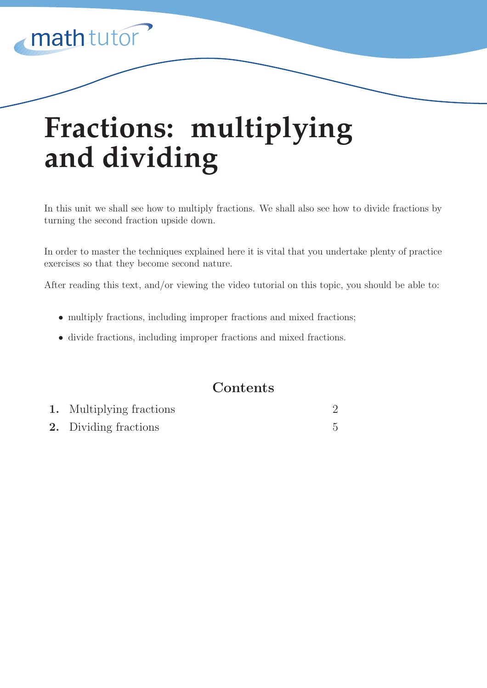

# **Fractions: multiplying and dividing**

In this unit we shall see how to multiply fractions. We shall also see how to divide fractions by turning the second fraction upside down.

In order to master the techniques explained here it is vital that you undertake plenty of practice exercises so that they become second nature.

After reading this text, and/or viewing the video tutorial on this topic, you should be able to:

- multiply fractions, including improper fractions and mixed fractions;
- *•* divide fractions, including improper fractions and mixed fractions.

# **Contents**

| <b>1.</b> Multiplying fractions |  |
|---------------------------------|--|
| <b>2.</b> Dividing fractions    |  |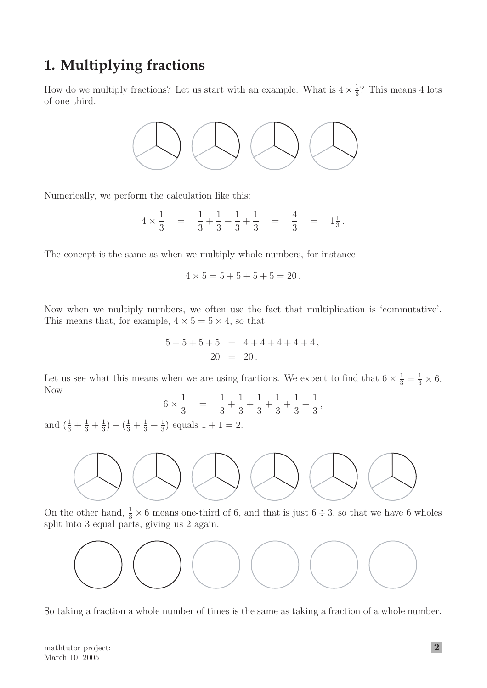# **1. Multiplying fractions**

How do we multiply fractions? Let us start with an example. What is  $4 \times \frac{1}{3}$ ? This means 4 lots of one third.



Numerically, we perform the calculation like this:

$$
4 \times \frac{1}{3} = \frac{1}{3} + \frac{1}{3} + \frac{1}{3} + \frac{1}{3} = \frac{4}{3} = 1\frac{1}{3}.
$$

The concept is the same as when we multiply whole numbers, for instance

$$
4 \times 5 = 5 + 5 + 5 + 5 = 20.
$$

Now when we multiply numbers, we often use the fact that multiplication is 'commutative'. This means that, for example,  $4 \times 5 = 5 \times 4$ , so that

$$
5+5+5+5 = 4+4+4+4+4,
$$
  

$$
20 = 20.
$$

Let us see what this means when we are using fractions. We expect to find that  $6 \times \frac{1}{3} = \frac{1}{3} \times 6$ . Now

$$
6 \times \frac{1}{3} = \frac{1}{3} + \frac{1}{3} + \frac{1}{3} + \frac{1}{3} + \frac{1}{3} + \frac{1}{3},
$$

and  $\left(\frac{1}{3} + \frac{1}{3} + \frac{1}{3}\right) + \left(\frac{1}{3} + \frac{1}{3} + \frac{1}{3}\right)$  equals  $1 + 1 = 2$ .



On the other hand,  $\frac{1}{3} \times 6$  means one-third of 6, and that is just  $6 \div 3$ , so that we have 6 wholes split into 3 equal parts, giving us 2 again.



So taking a fraction a whole number of times is the same as taking a fraction of a whole number.

mathtutor project: March 10, 2005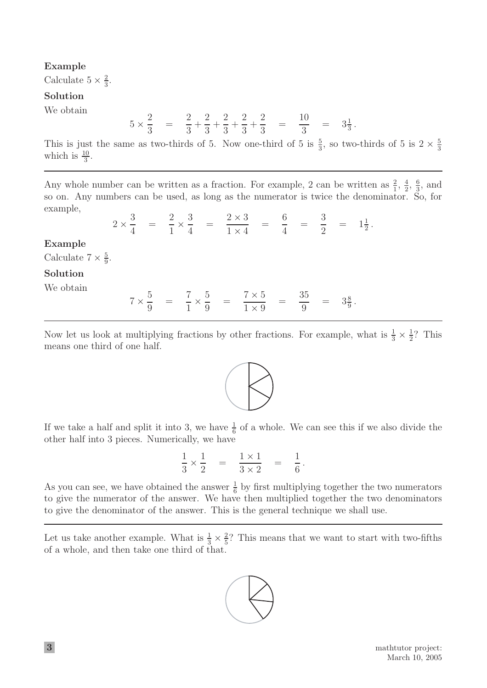### **Example**

Calculate  $5 \times \frac{2}{3}$ .

### **Solution**

We obtain

$$
5 \times \frac{2}{3} = \frac{2}{3} + \frac{2}{3} + \frac{2}{3} + \frac{2}{3} + \frac{2}{3} = \frac{10}{3} = 3\frac{1}{3}.
$$

This is just the same as two-thirds of 5. Now one-third of 5 is  $\frac{5}{3}$ , so two-thirds of 5 is  $2 \times \frac{5}{3}$ which is  $\frac{10}{3}$ .

Any whole number can be written as a fraction. For example, 2 can be written as  $\frac{2}{1}$ ,  $\frac{4}{2}$ ,  $\frac{6}{3}$ , and so on. Any numbers can be used, as long as the numerator is twice the denominator. So, for example,

2 *×*  $\frac{3}{4}$  =  $\frac{2}{1}$  ×  $\frac{3}{4} = \frac{2 \times 3}{1 \times 4} = \frac{6}{4} = \frac{3}{2}$  $=$   $1\frac{1}{2}$ .

### **Example**

Calculate  $7 \times \frac{5}{9}$ .

### **Solution**

We obtain

$$
7 \times \frac{5}{9} = \frac{7}{1} \times \frac{5}{9} = \frac{7 \times 5}{1 \times 9} = \frac{35}{9} = 3\frac{8}{9}.
$$

Now let us look at multiplying fractions by other fractions. For example, what is  $\frac{1}{3} \times \frac{1}{2}$ ? This means one third of one half.



If we take a half and split it into 3, we have  $\frac{1}{6}$  of a whole. We can see this if we also divide the other half into 3 pieces. Numerically, we have

$$
\frac{1}{3} \times \frac{1}{2} = \frac{1 \times 1}{3 \times 2} = \frac{1}{6}.
$$

As you can see, we have obtained the answer  $\frac{1}{6}$  by first multiplying together the two numerators to give the numerator of the answer. We have then multiplied together the two denominators to give the denominator of the answer. This is the general technique we shall use.

Let us take another example. What is  $\frac{1}{3} \times \frac{2}{5}$ ? This means that we want to start with two-fifths of a whole, and then take one third of that.

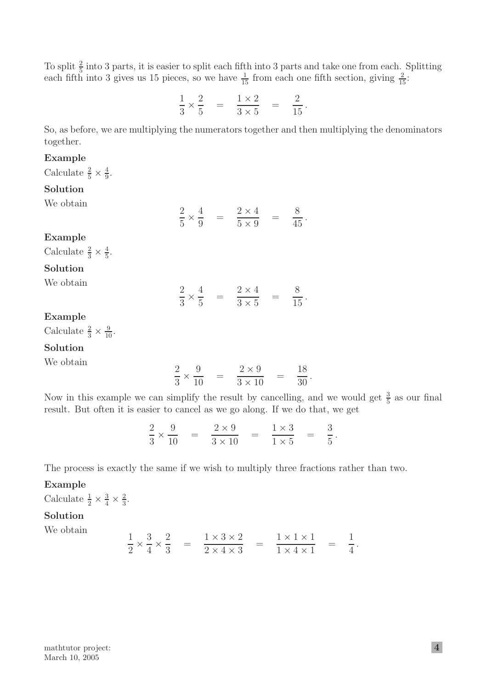To split  $\frac{2}{5}$  into 3 parts, it is easier to split each fifth into 3 parts and take one from each. Splitting each fifth into 3 gives us 15 pieces, so we have  $\frac{1}{15}$  from each one fifth section, giving  $\frac{2}{15}$ :

$$
\frac{1}{3} \times \frac{2}{5} = \frac{1 \times 2}{3 \times 5} = \frac{2}{15}.
$$

So, as before, we are multiplying the numerators together and then multiplying the denominators together.

### **Example**

Calculate  $\frac{2}{5} \times \frac{4}{9}$ .

### **Solution**

| We obtain                                                       |                                                                                     |                                                                                  |  |
|-----------------------------------------------------------------|-------------------------------------------------------------------------------------|----------------------------------------------------------------------------------|--|
|                                                                 |                                                                                     | $\frac{2}{5} \times \frac{4}{9} = \frac{2 \times 4}{5 \times 9} = \frac{8}{45}.$ |  |
| Example                                                         |                                                                                     |                                                                                  |  |
| Calculate $\frac{2}{3} \times \frac{4}{5}$ .                    |                                                                                     |                                                                                  |  |
| Solution                                                        |                                                                                     |                                                                                  |  |
| We obtain                                                       |                                                                                     | $\frac{2}{3} \times \frac{4}{5} = \frac{2 \times 4}{3 \times 5} = \frac{8}{15}.$ |  |
| Example                                                         |                                                                                     |                                                                                  |  |
| Calculate $\frac{2}{3} \times \frac{9}{10}$ .                   |                                                                                     |                                                                                  |  |
| Solution                                                        |                                                                                     |                                                                                  |  |
| We obtain                                                       | $\frac{2}{3} \times \frac{9}{10} = \frac{2 \times 9}{3 \times 10} = \frac{18}{30}.$ |                                                                                  |  |
| Now in this example we can simplify the result by cancelling, a |                                                                                     |                                                                                  |  |

### **Solution**

Now in this example we can simplify the result by cancelling, and we would get  $\frac{3}{5}$  as our final result. But often it is easier to cancel as we go along. If we do that, we get

$$
\frac{2}{3} \times \frac{9}{10} = \frac{2 \times 9}{3 \times 10} = \frac{1 \times 3}{1 \times 5} = \frac{3}{5}.
$$

The process is exactly the same if we wish to multiply three fractions rather than two.

### **Example**

Calculate  $\frac{1}{2} \times \frac{3}{4} \times \frac{2}{3}$ .

# **Solution**

We obtain

$$
\frac{1}{2} \times \frac{3}{4} \times \frac{2}{3} = \frac{1 \times 3 \times 2}{2 \times 4 \times 3} = \frac{1 \times 1 \times 1}{1 \times 4 \times 1} = \frac{1}{4}.
$$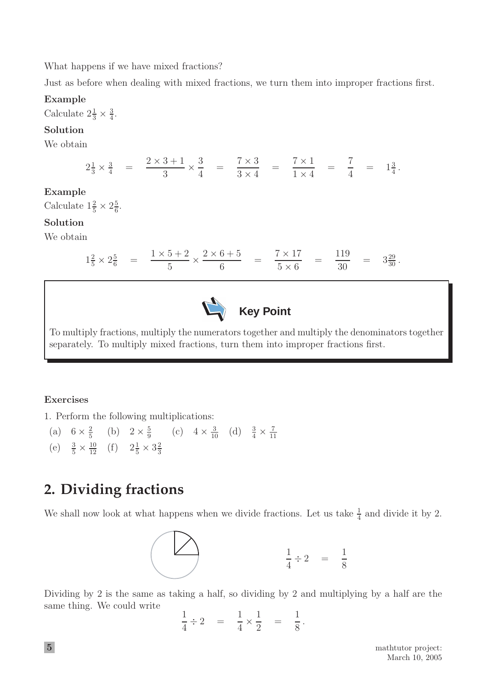What happens if we have mixed fractions?

Just as before when dealing with mixed fractions, we turn them into improper fractions first.

### **Example**

Calculate  $2\frac{1}{3} \times \frac{3}{4}$ .

## **Solution**

We obtain

$$
2\frac{1}{3} \times \frac{3}{4} = \frac{2 \times 3 + 1}{3} \times \frac{3}{4} = \frac{7 \times 3}{3 \times 4} = \frac{7 \times 1}{1 \times 4} = \frac{7}{4} = 1\frac{3}{4}.
$$

## **Example**

Calculate  $1\frac{2}{5} \times 2\frac{5}{6}$ .

## **Solution**

We obtain

$$
1\frac{2}{5} \times 2\frac{5}{6} = \frac{1 \times 5 + 2}{5} \times \frac{2 \times 6 + 5}{6} = \frac{7 \times 17}{5 \times 6} = \frac{119}{30} = 3\frac{29}{30}.
$$



To multiply fractions, multiply the numerators together and multiply the denominators together separately. To multiply mixed fractions, turn them into improper fractions first.

# **Exercises**

- 1. Perform the following multiplications:
	- (a)  $6 \times \frac{2}{5}$  (b)  $2 \times \frac{5}{9}$  (c)  $4 \times \frac{3}{10}$  (d)  $\frac{3}{4} \times \frac{7}{11}$ (e)  $\frac{3}{5} \times \frac{10}{12}$  (f)  $2\frac{1}{5} \times 3\frac{2}{3}$

# **2. Dividing fractions**

We shall now look at what happens when we divide fractions. Let us take  $\frac{1}{4}$  and divide it by 2.



Dividing by 2 is the same as taking a half, so dividing by 2 and multiplying by a half are the same thing. We could write

$$
\frac{1}{4} \div 2 = \frac{1}{4} \times \frac{1}{2} = \frac{1}{8}.
$$

**5** mathtutor project: March 10, 2005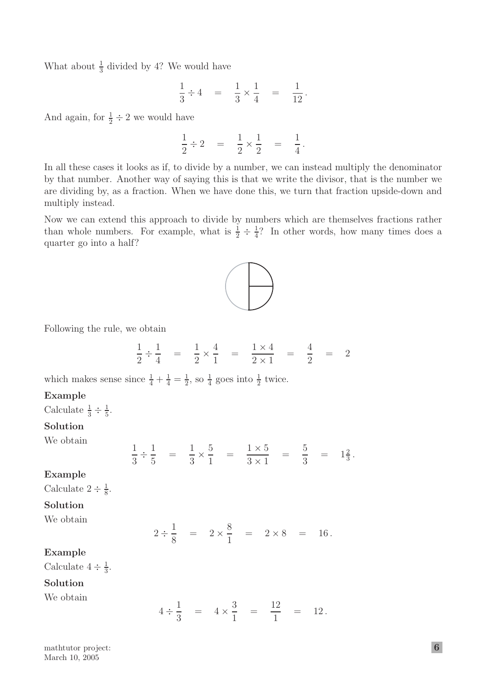What about  $\frac{1}{3}$  divided by 4? We would have

$$
\frac{1}{3} \div 4 = \frac{1}{3} \times \frac{1}{4} = \frac{1}{12}.
$$

And again, for  $\frac{1}{2} \div 2$  we would have

$$
\frac{1}{2} \div 2 = \frac{1}{2} \times \frac{1}{2} = \frac{1}{4}.
$$

In all these cases it looks as if, to divide by a number, we can instead multiply the denominator by that number. Another way of saying this is that we write the divisor, that is the number we are dividing by, as a fraction. When we have done this, we turn that fraction upside-down and multiply instead.

Now we can extend this approach to divide by numbers which are themselves fractions rather than whole numbers. For example, what is  $\frac{1}{2} \div \frac{1}{4}$ ? In other words, how many times does a quarter go into a half?



Following the rule, we obtain

$$
\frac{1}{2} \div \frac{1}{4} = \frac{1}{2} \times \frac{4}{1} = \frac{1 \times 4}{2 \times 1} = \frac{4}{2} = 2
$$

which makes sense since  $\frac{1}{4} + \frac{1}{4} = \frac{1}{2}$ , so  $\frac{1}{4}$  goes into  $\frac{1}{2}$  twice.

### **Example**

Calculate  $\frac{1}{3} \div \frac{1}{5}$ .

# **Solution**

We obtain

$$
\frac{1}{3} \div \frac{1}{5} = \frac{1}{3} \times \frac{5}{1} = \frac{1 \times 5}{3 \times 1} = \frac{5}{3} = 1\frac{2}{3}.
$$

**Example**

Calculate  $2 \div \frac{1}{8}$ .

### **Solution**

We obtain

$$
2 \div \frac{1}{8} = 2 \times \frac{8}{1} = 2 \times 8 = 16.
$$

### **Example**

Calculate  $4 \div \frac{1}{3}$ .

### **Solution**

We obtain

$$
4 \div \frac{1}{3} = 4 \times \frac{3}{1} = \frac{12}{1} = 12.
$$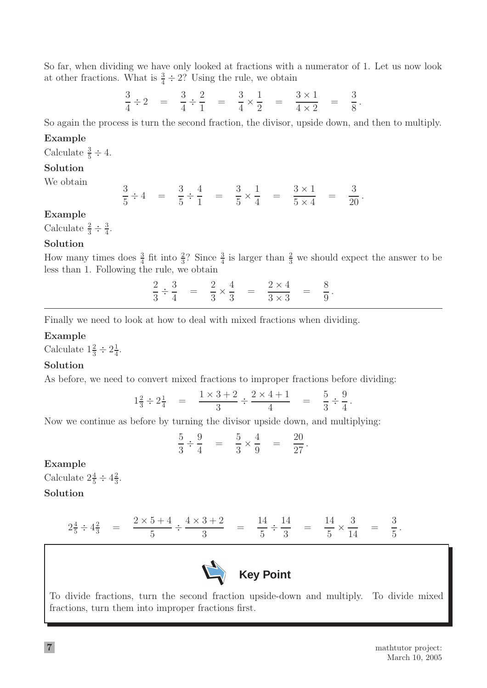So far, when dividing we have only looked at fractions with a numerator of 1. Let us now look at other fractions. What is  $\frac{3}{4} \div 2$ ? Using the rule, we obtain

$$
\frac{3}{4} \div 2 = \frac{3}{4} \div \frac{2}{1} = \frac{3}{4} \times \frac{1}{2} = \frac{3 \times 1}{4 \times 2} = \frac{3}{8}.
$$

So again the process is turn the second fraction, the divisor, upside down, and then to multiply.

### **Example**

Calculate  $\frac{3}{5} \div 4$ .

### **Solution**

We obtain

$$
\frac{3}{5} \div 4 = \frac{3}{5} \div \frac{4}{1} = \frac{3}{5} \times \frac{1}{4} = \frac{3 \times 1}{5 \times 4} = \frac{3}{20}.
$$

### **Example**

Calculate  $\frac{2}{3} \div \frac{3}{4}$ .

### **Solution**

How many times does  $\frac{3}{4}$  fit into  $\frac{2}{3}$ ? Since  $\frac{3}{4}$  is larger than  $\frac{2}{3}$  we should expect the answer to be less than 1. Following the rule, we obtain

> *÷*  $\frac{3}{4}$  =  $\frac{2}{3}$  ×  $\frac{4}{3} = \frac{2 \times 4}{3 \times 3} = \frac{8}{9}.$

Finally we need to look at how to deal with mixed fractions when dividing.

### **Example**

Calculate  $1\frac{2}{3} \div 2\frac{1}{4}$ .

### **Solution**

As before, we need to convert mixed fractions to improper fractions before dividing:

$$
1\frac{2}{3} \div 2\frac{1}{4} = \frac{1 \times 3 + 2}{3} \div \frac{2 \times 4 + 1}{4} = \frac{5}{3} \div \frac{9}{4}.
$$

Now we continue as before by turning the divisor upside down, and multiplying:

$$
\frac{5}{3} \div \frac{9}{4} = \frac{5}{3} \times \frac{4}{9} = \frac{20}{27}.
$$

#### **Example**

Calculate  $2\frac{4}{5} \div 4\frac{2}{3}$ . **Solution**

$$
2\frac{4}{5} \div 4\frac{2}{3} = \frac{2 \times 5 + 4}{5} \div \frac{4 \times 3 + 2}{3} = \frac{14}{5} \div \frac{14}{3} = \frac{14}{5} \times \frac{3}{14} = \frac{3}{5}.
$$



To divide fractions, turn the second fraction upside-down and multiply. To divide mixed fractions, turn them into improper fractions first.